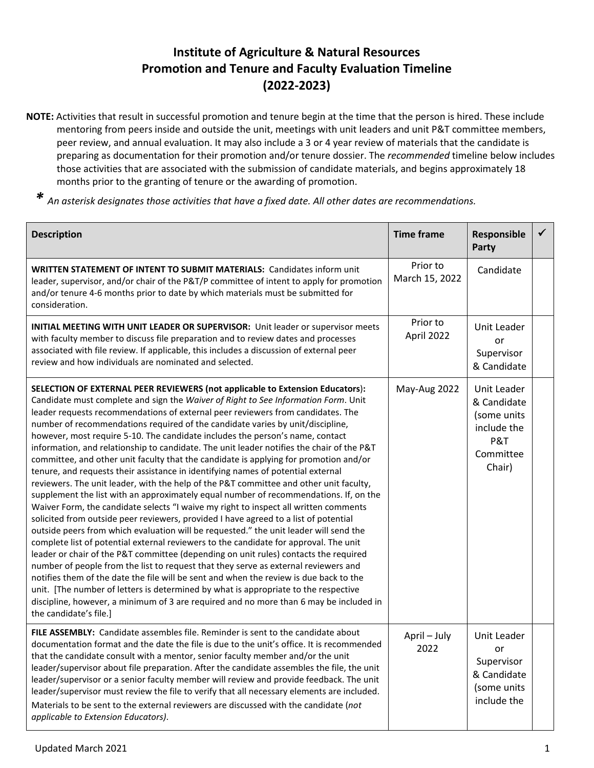## **Institute of Agriculture & Natural Resources Promotion and Tenure and Faculty Evaluation Timeline (2022-2023)**

- **NOTE:** Activities that result in successful promotion and tenure begin at the time that the person is hired. These include mentoring from peers inside and outside the unit, meetings with unit leaders and unit P&T committee members, peer review, and annual evaluation. It may also include a 3 or 4 year review of materials that the candidate is preparing as documentation for their promotion and/or tenure dossier. The *recommended* timeline below includes those activities that are associated with the submission of candidate materials, and begins approximately 18 months prior to the granting of tenure or the awarding of promotion.
	- *\* An asterisk designates those activities that have a fixed date. All other dates are recommendations.*

| <b>Description</b>                                                                                                                                                                                                                                                                                                                                                                                                                                                                                                                                                                                                                                                                                                                                                                                                                                                                                                                                                                                                                                                                                                                                                                                                                                                                                                                                                                                                                                                                                                                                                                                                                                                                                                                           | <b>Time frame</b>          | Responsible<br>Party                                                                   |  |
|----------------------------------------------------------------------------------------------------------------------------------------------------------------------------------------------------------------------------------------------------------------------------------------------------------------------------------------------------------------------------------------------------------------------------------------------------------------------------------------------------------------------------------------------------------------------------------------------------------------------------------------------------------------------------------------------------------------------------------------------------------------------------------------------------------------------------------------------------------------------------------------------------------------------------------------------------------------------------------------------------------------------------------------------------------------------------------------------------------------------------------------------------------------------------------------------------------------------------------------------------------------------------------------------------------------------------------------------------------------------------------------------------------------------------------------------------------------------------------------------------------------------------------------------------------------------------------------------------------------------------------------------------------------------------------------------------------------------------------------------|----------------------------|----------------------------------------------------------------------------------------|--|
| <b>WRITTEN STATEMENT OF INTENT TO SUBMIT MATERIALS: Candidates inform unit</b><br>leader, supervisor, and/or chair of the P&T/P committee of intent to apply for promotion<br>and/or tenure 4-6 months prior to date by which materials must be submitted for<br>consideration.                                                                                                                                                                                                                                                                                                                                                                                                                                                                                                                                                                                                                                                                                                                                                                                                                                                                                                                                                                                                                                                                                                                                                                                                                                                                                                                                                                                                                                                              | Prior to<br>March 15, 2022 | Candidate                                                                              |  |
| <b>INITIAL MEETING WITH UNIT LEADER OR SUPERVISOR:</b> Unit leader or supervisor meets<br>with faculty member to discuss file preparation and to review dates and processes<br>associated with file review. If applicable, this includes a discussion of external peer<br>review and how individuals are nominated and selected.                                                                                                                                                                                                                                                                                                                                                                                                                                                                                                                                                                                                                                                                                                                                                                                                                                                                                                                                                                                                                                                                                                                                                                                                                                                                                                                                                                                                             | Prior to<br>April 2022     | Unit Leader<br>or<br>Supervisor<br>& Candidate                                         |  |
| SELECTION OF EXTERNAL PEER REVIEWERS (not applicable to Extension Educators):<br>Candidate must complete and sign the Waiver of Right to See Information Form. Unit<br>leader requests recommendations of external peer reviewers from candidates. The<br>number of recommendations required of the candidate varies by unit/discipline,<br>however, most require 5-10. The candidate includes the person's name, contact<br>information, and relationship to candidate. The unit leader notifies the chair of the P&T<br>committee, and other unit faculty that the candidate is applying for promotion and/or<br>tenure, and requests their assistance in identifying names of potential external<br>reviewers. The unit leader, with the help of the P&T committee and other unit faculty,<br>supplement the list with an approximately equal number of recommendations. If, on the<br>Waiver Form, the candidate selects "I waive my right to inspect all written comments<br>solicited from outside peer reviewers, provided I have agreed to a list of potential<br>outside peers from which evaluation will be requested." the unit leader will send the<br>complete list of potential external reviewers to the candidate for approval. The unit<br>leader or chair of the P&T committee (depending on unit rules) contacts the required<br>number of people from the list to request that they serve as external reviewers and<br>notifies them of the date the file will be sent and when the review is due back to the<br>unit. [The number of letters is determined by what is appropriate to the respective<br>discipline, however, a minimum of 3 are required and no more than 6 may be included in<br>the candidate's file.] | May-Aug 2022               | Unit Leader<br>& Candidate<br>(some units<br>include the<br>P&T<br>Committee<br>Chair) |  |
| FILE ASSEMBLY: Candidate assembles file. Reminder is sent to the candidate about<br>documentation format and the date the file is due to the unit's office. It is recommended<br>that the candidate consult with a mentor, senior faculty member and/or the unit<br>leader/supervisor about file preparation. After the candidate assembles the file, the unit<br>leader/supervisor or a senior faculty member will review and provide feedback. The unit<br>leader/supervisor must review the file to verify that all necessary elements are included.<br>Materials to be sent to the external reviewers are discussed with the candidate (not<br>applicable to Extension Educators).                                                                                                                                                                                                                                                                                                                                                                                                                                                                                                                                                                                                                                                                                                                                                                                                                                                                                                                                                                                                                                                       | April - July<br>2022       | Unit Leader<br>or<br>Supervisor<br>& Candidate<br>(some units<br>include the           |  |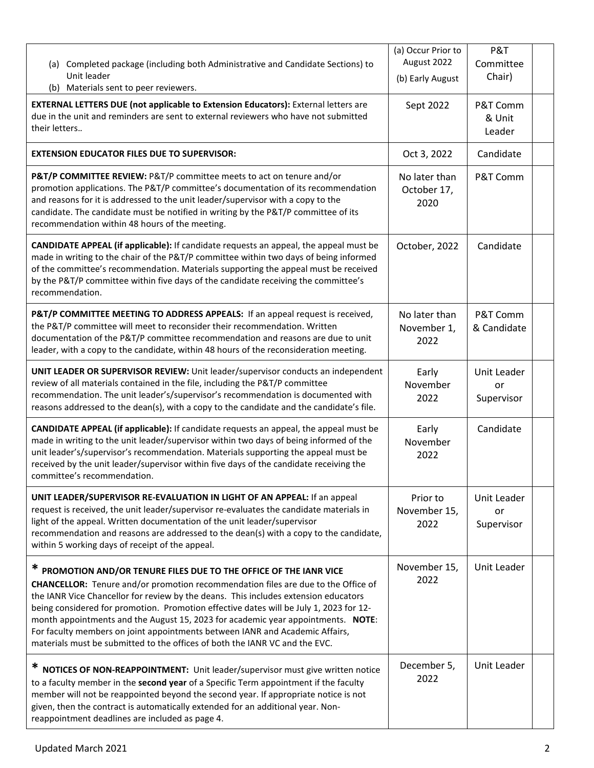| (a) Completed package (including both Administrative and Candidate Sections) to<br>Unit leader<br>(b) Materials sent to peer reviewers.                                                                                                                                                                                                                                                                                                                                                                                                                                                     | (a) Occur Prior to<br>August 2022<br>(b) Early August | P&T<br>Committee<br>Chair)      |  |
|---------------------------------------------------------------------------------------------------------------------------------------------------------------------------------------------------------------------------------------------------------------------------------------------------------------------------------------------------------------------------------------------------------------------------------------------------------------------------------------------------------------------------------------------------------------------------------------------|-------------------------------------------------------|---------------------------------|--|
| <b>EXTERNAL LETTERS DUE (not applicable to Extension Educators):</b> External letters are<br>due in the unit and reminders are sent to external reviewers who have not submitted<br>their letters                                                                                                                                                                                                                                                                                                                                                                                           | Sept 2022                                             | P&T Comm<br>& Unit<br>Leader    |  |
| <b>EXTENSION EDUCATOR FILES DUE TO SUPERVISOR:</b>                                                                                                                                                                                                                                                                                                                                                                                                                                                                                                                                          | Oct 3, 2022                                           | Candidate                       |  |
| P&T/P COMMITTEE REVIEW: P&T/P committee meets to act on tenure and/or<br>promotion applications. The P&T/P committee's documentation of its recommendation<br>and reasons for it is addressed to the unit leader/supervisor with a copy to the<br>candidate. The candidate must be notified in writing by the P&T/P committee of its<br>recommendation within 48 hours of the meeting.                                                                                                                                                                                                      | No later than<br>October 17,<br>2020                  | P&T Comm                        |  |
| <b>CANDIDATE APPEAL (if applicable):</b> If candidate requests an appeal, the appeal must be<br>made in writing to the chair of the P&T/P committee within two days of being informed<br>of the committee's recommendation. Materials supporting the appeal must be received<br>by the P&T/P committee within five days of the candidate receiving the committee's<br>recommendation.                                                                                                                                                                                                       | October, 2022                                         | Candidate                       |  |
| P&T/P COMMITTEE MEETING TO ADDRESS APPEALS: If an appeal request is received,<br>the P&T/P committee will meet to reconsider their recommendation. Written<br>documentation of the P&T/P committee recommendation and reasons are due to unit<br>leader, with a copy to the candidate, within 48 hours of the reconsideration meeting.                                                                                                                                                                                                                                                      | No later than<br>November 1,<br>2022                  | P&T Comm<br>& Candidate         |  |
| UNIT LEADER OR SUPERVISOR REVIEW: Unit leader/supervisor conducts an independent<br>review of all materials contained in the file, including the P&T/P committee<br>recommendation. The unit leader's/supervisor's recommendation is documented with<br>reasons addressed to the dean(s), with a copy to the candidate and the candidate's file.                                                                                                                                                                                                                                            | Early<br>November<br>2022                             | Unit Leader<br>or<br>Supervisor |  |
| <b>CANDIDATE APPEAL (if applicable):</b> If candidate requests an appeal, the appeal must be<br>made in writing to the unit leader/supervisor within two days of being informed of the<br>unit leader's/supervisor's recommendation. Materials supporting the appeal must be<br>received by the unit leader/supervisor within five days of the candidate receiving the<br>committee's recommendation.                                                                                                                                                                                       | Early<br>November<br>2022                             | Candidate                       |  |
| UNIT LEADER/SUPERVISOR RE-EVALUATION IN LIGHT OF AN APPEAL: If an appeal<br>request is received, the unit leader/supervisor re-evaluates the candidate materials in<br>light of the appeal. Written documentation of the unit leader/supervisor<br>recommendation and reasons are addressed to the dean(s) with a copy to the candidate,<br>within 5 working days of receipt of the appeal.                                                                                                                                                                                                 | Prior to<br>November 15,<br>2022                      | Unit Leader<br>or<br>Supervisor |  |
| * PROMOTION AND/OR TENURE FILES DUE TO THE OFFICE OF THE IANR VICE<br>CHANCELLOR: Tenure and/or promotion recommendation files are due to the Office of<br>the IANR Vice Chancellor for review by the deans. This includes extension educators<br>being considered for promotion. Promotion effective dates will be July 1, 2023 for 12-<br>month appointments and the August 15, 2023 for academic year appointments. NOTE:<br>For faculty members on joint appointments between IANR and Academic Affairs,<br>materials must be submitted to the offices of both the IANR VC and the EVC. | November 15,<br>2022                                  | Unit Leader                     |  |
| ∗<br>NOTICES OF NON-REAPPOINTMENT: Unit leader/supervisor must give written notice<br>to a faculty member in the second year of a Specific Term appointment if the faculty<br>member will not be reappointed beyond the second year. If appropriate notice is not<br>given, then the contract is automatically extended for an additional year. Non-<br>reappointment deadlines are included as page 4.                                                                                                                                                                                     | December 5,<br>2022                                   | Unit Leader                     |  |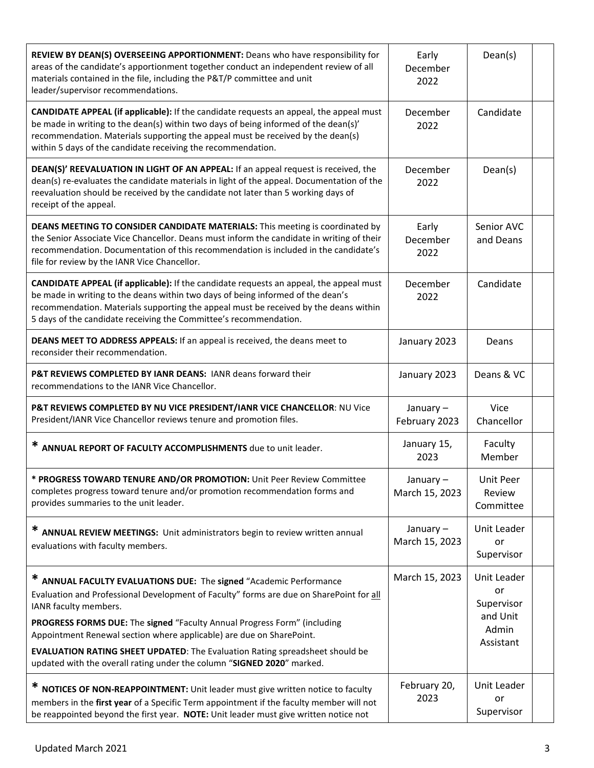| REVIEW BY DEAN(S) OVERSEEING APPORTIONMENT: Deans who have responsibility for<br>areas of the candidate's apportionment together conduct an independent review of all<br>materials contained in the file, including the P&T/P committee and unit<br>leader/supervisor recommendations.                                                                                                                                            | Early<br>December<br>2022  | Dean(s)                                                           |  |
|-----------------------------------------------------------------------------------------------------------------------------------------------------------------------------------------------------------------------------------------------------------------------------------------------------------------------------------------------------------------------------------------------------------------------------------|----------------------------|-------------------------------------------------------------------|--|
| <b>CANDIDATE APPEAL (if applicable):</b> If the candidate requests an appeal, the appeal must<br>be made in writing to the dean(s) within two days of being informed of the dean(s)'<br>recommendation. Materials supporting the appeal must be received by the dean(s)<br>within 5 days of the candidate receiving the recommendation.                                                                                           | December<br>2022           | Candidate                                                         |  |
| DEAN(S)' REEVALUATION IN LIGHT OF AN APPEAL: If an appeal request is received, the<br>dean(s) re-evaluates the candidate materials in light of the appeal. Documentation of the<br>reevaluation should be received by the candidate not later than 5 working days of<br>receipt of the appeal.                                                                                                                                    | December<br>2022           | Dean(s)                                                           |  |
| DEANS MEETING TO CONSIDER CANDIDATE MATERIALS: This meeting is coordinated by<br>the Senior Associate Vice Chancellor. Deans must inform the candidate in writing of their<br>recommendation. Documentation of this recommendation is included in the candidate's<br>file for review by the IANR Vice Chancellor.                                                                                                                 | Early<br>December<br>2022  | Senior AVC<br>and Deans                                           |  |
| CANDIDATE APPEAL (if applicable): If the candidate requests an appeal, the appeal must<br>be made in writing to the deans within two days of being informed of the dean's<br>recommendation. Materials supporting the appeal must be received by the deans within<br>5 days of the candidate receiving the Committee's recommendation.                                                                                            | December<br>2022           | Candidate                                                         |  |
| DEANS MEET TO ADDRESS APPEALS: If an appeal is received, the deans meet to<br>reconsider their recommendation.                                                                                                                                                                                                                                                                                                                    | January 2023               | Deans                                                             |  |
| P&T REVIEWS COMPLETED BY IANR DEANS: IANR deans forward their<br>recommendations to the IANR Vice Chancellor.                                                                                                                                                                                                                                                                                                                     | January 2023               | Deans & VC                                                        |  |
| P&T REVIEWS COMPLETED BY NU VICE PRESIDENT/IANR VICE CHANCELLOR: NU Vice<br>President/IANR Vice Chancellor reviews tenure and promotion files.                                                                                                                                                                                                                                                                                    | January-<br>February 2023  | Vice<br>Chancellor                                                |  |
| * ANNUAL REPORT OF FACULTY ACCOMPLISHMENTS due to unit leader.                                                                                                                                                                                                                                                                                                                                                                    | January 15,<br>2023        | Faculty<br>Member                                                 |  |
| * PROGRESS TOWARD TENURE AND/OR PROMOTION: Unit Peer Review Committee<br>completes progress toward tenure and/or promotion recommendation forms and<br>provides summaries to the unit leader.                                                                                                                                                                                                                                     | January-<br>March 15, 2023 | <b>Unit Peer</b><br>Review<br>Committee                           |  |
| ANNUAL REVIEW MEETINGS: Unit administrators begin to review written annual<br>evaluations with faculty members.                                                                                                                                                                                                                                                                                                                   | January-<br>March 15, 2023 | Unit Leader<br>or<br>Supervisor                                   |  |
| * ANNUAL FACULTY EVALUATIONS DUE: The signed "Academic Performance<br>Evaluation and Professional Development of Faculty" forms are due on SharePoint for all<br>IANR faculty members.<br>PROGRESS FORMS DUE: The signed "Faculty Annual Progress Form" (including<br>Appointment Renewal section where applicable) are due on SharePoint.<br><b>EVALUATION RATING SHEET UPDATED:</b> The Evaluation Rating spreadsheet should be | March 15, 2023             | Unit Leader<br>or<br>Supervisor<br>and Unit<br>Admin<br>Assistant |  |
| updated with the overall rating under the column "SIGNED 2020" marked.<br>* NOTICES OF NON-REAPPOINTMENT: Unit leader must give written notice to faculty<br>members in the first year of a Specific Term appointment if the faculty member will not<br>be reappointed beyond the first year. NOTE: Unit leader must give written notice not                                                                                      | February 20,<br>2023       | Unit Leader<br>or<br>Supervisor                                   |  |